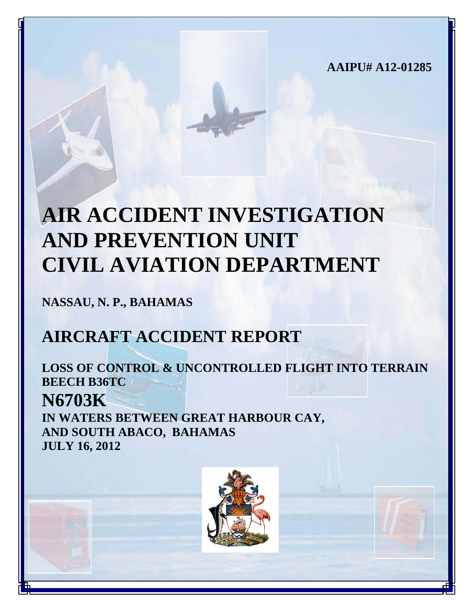**AAIPU# A12-01285**

# **AIR ACCIDENT INVESTIGATION AND PREVENTION UNIT CIVIL AVIATION DEPARTMENT**

**NASSAU, N. P., BAHAMAS**

# **AIRCRAFT ACCIDENT REPORT**

**LOSS OF CONTROL & UNCONTROLLED FLIGHT INTO TERRAIN BEECH B36TC N6703K IN WATERS BETWEEN GREAT HARBOUR CAY, AND SOUTH ABACO, BAHAMAS JULY 16, 2012**

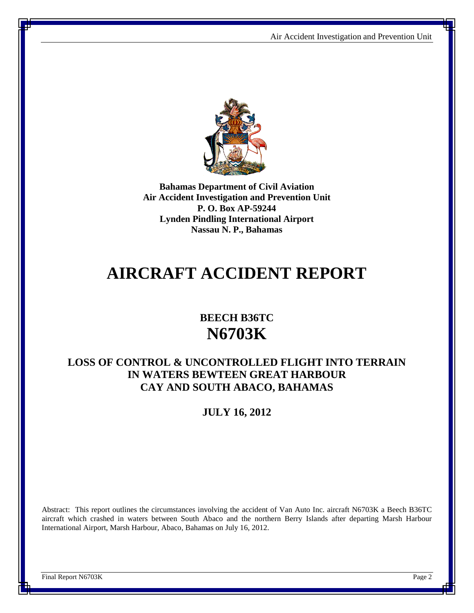

**Bahamas Department of Civil Aviation Air Accident Investigation and Prevention Unit P. O. Box AP-59244 Lynden Pindling International Airport Nassau N. P., Bahamas**

## **AIRCRAFT ACCIDENT REPORT**

### **BEECH B36TC N6703K**

#### **LOSS OF CONTROL & UNCONTROLLED FLIGHT INTO TERRAIN IN WATERS BEWTEEN GREAT HARBOUR CAY AND SOUTH ABACO, BAHAMAS**

#### **JULY 16, 2012**

Abstract: This report outlines the circumstances involving the accident of Van Auto Inc. aircraft N6703K a Beech B36TC aircraft which crashed in waters between South Abaco and the northern Berry Islands after departing Marsh Harbour International Airport, Marsh Harbour, Abaco, Bahamas on July 16, 2012.

Final Report N6703K Page 2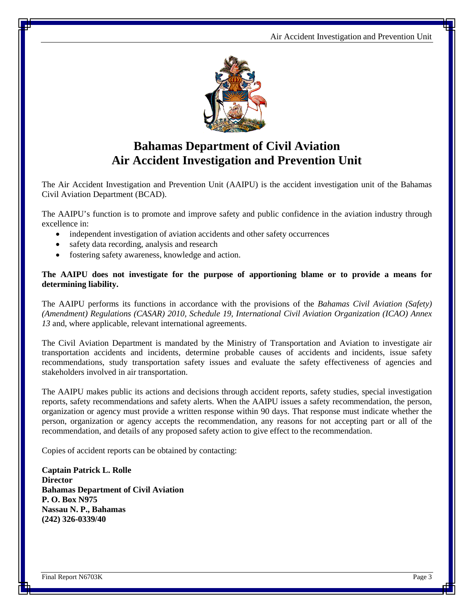

### **Bahamas Department of Civil Aviation Air Accident Investigation and Prevention Unit**

The Air Accident Investigation and Prevention Unit (AAIPU) is the accident investigation unit of the Bahamas Civil Aviation Department (BCAD).

The AAIPU's function is to promote and improve safety and public confidence in the aviation industry through excellence in:

- independent investigation of aviation accidents and other safety occurrences
- safety data recording, analysis and research
- fostering safety awareness, knowledge and action.

#### **The AAIPU does not investigate for the purpose of apportioning blame or to provide a means for determining liability.**

The AAIPU performs its functions in accordance with the provisions of the *Bahamas Civil Aviation (Safety) (Amendment) Regulations (CASAR) 2010, Schedule 19, International Civil Aviation Organization (ICAO) Annex 13* and, where applicable, relevant international agreements.

The Civil Aviation Department is mandated by the Ministry of Transportation and Aviation to investigate air transportation accidents and incidents, determine probable causes of accidents and incidents, issue safety recommendations, study transportation safety issues and evaluate the safety effectiveness of agencies and stakeholders involved in air transportation.

The AAIPU makes public its actions and decisions through accident reports, safety studies, special investigation reports, safety recommendations and safety alerts. When the AAIPU issues a safety recommendation, the person, organization or agency must provide a written response within 90 days. That response must indicate whether the person, organization or agency accepts the recommendation, any reasons for not accepting part or all of the recommendation, and details of any proposed safety action to give effect to the recommendation.

Copies of accident reports can be obtained by contacting:

**Captain Patrick L. Rolle Director Bahamas Department of Civil Aviation P. O. Box N975 Nassau N. P., Bahamas (242) 326-0339/40**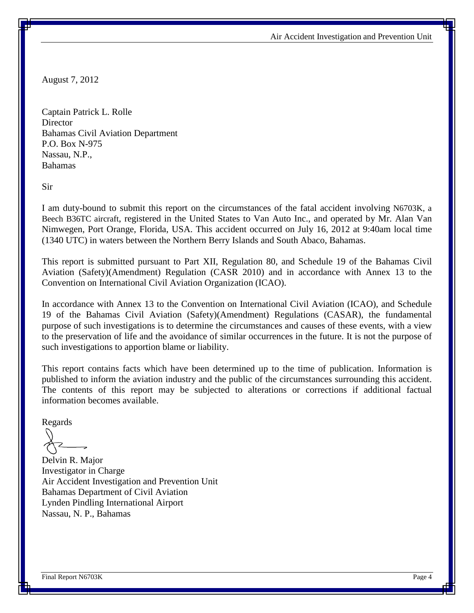August 7, 2012

Captain Patrick L. Rolle **Director** Bahamas Civil Aviation Department P.O. Box N-975 Nassau, N.P., Bahamas

Sir

I am duty-bound to submit this report on the circumstances of the fatal accident involving N6703K, a Beech B36TC aircraft, registered in the United States to Van Auto Inc., and operated by Mr. Alan Van Nimwegen, Port Orange, Florida, USA. This accident occurred on July 16, 2012 at 9:40am local time (1340 UTC) in waters between the Northern Berry Islands and South Abaco, Bahamas.

This report is submitted pursuant to Part XII, Regulation 80, and Schedule 19 of the Bahamas Civil Aviation (Safety)(Amendment) Regulation (CASR 2010) and in accordance with Annex 13 to the Convention on International Civil Aviation Organization (ICAO).

In accordance with Annex 13 to the Convention on International Civil Aviation (ICAO), and Schedule 19 of the Bahamas Civil Aviation (Safety)(Amendment) Regulations (CASAR), the fundamental purpose of such investigations is to determine the circumstances and causes of these events, with a view to the preservation of life and the avoidance of similar occurrences in the future. It is not the purpose of such investigations to apportion blame or liability.

This report contains facts which have been determined up to the time of publication. Information is published to inform the aviation industry and the public of the circumstances surrounding this accident. The contents of this report may be subjected to alterations or corrections if additional factual information becomes available.

Regards

Delvin R. Major Investigator in Charge Air Accident Investigation and Prevention Unit Bahamas Department of Civil Aviation Lynden Pindling International Airport Nassau, N. P., Bahamas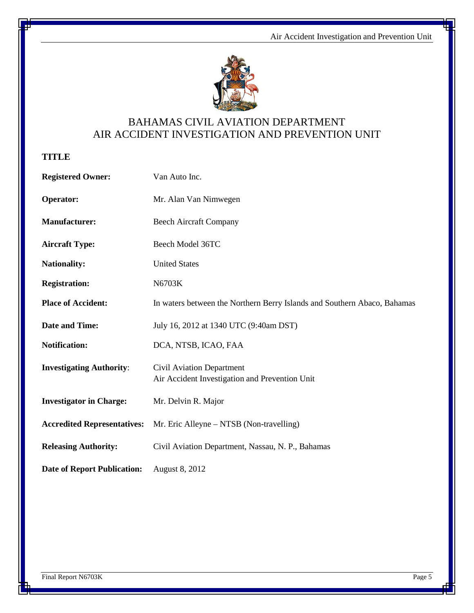

#### BAHAMAS CIVIL AVIATION DEPARTMENT AIR ACCIDENT INVESTIGATION AND PREVENTION UNIT

**TITLE**

| <b>Registered Owner:</b>           | Van Auto Inc.                                                               |
|------------------------------------|-----------------------------------------------------------------------------|
| Operator:                          | Mr. Alan Van Nimwegen                                                       |
| <b>Manufacturer:</b>               | <b>Beech Aircraft Company</b>                                               |
| <b>Aircraft Type:</b>              | Beech Model 36TC                                                            |
| <b>Nationality:</b>                | <b>United States</b>                                                        |
| <b>Registration:</b>               | N6703K                                                                      |
| <b>Place of Accident:</b>          | In waters between the Northern Berry Islands and Southern Abaco, Bahamas    |
| <b>Date and Time:</b>              | July 16, 2012 at 1340 UTC (9:40am DST)                                      |
| <b>Notification:</b>               | DCA, NTSB, ICAO, FAA                                                        |
| <b>Investigating Authority:</b>    | Civil Aviation Department<br>Air Accident Investigation and Prevention Unit |
| <b>Investigator in Charge:</b>     | Mr. Delvin R. Major                                                         |
| <b>Accredited Representatives:</b> | Mr. Eric Alleyne – NTSB (Non-travelling)                                    |
| <b>Releasing Authority:</b>        | Civil Aviation Department, Nassau, N. P., Bahamas                           |
| <b>Date of Report Publication:</b> | <b>August 8, 2012</b>                                                       |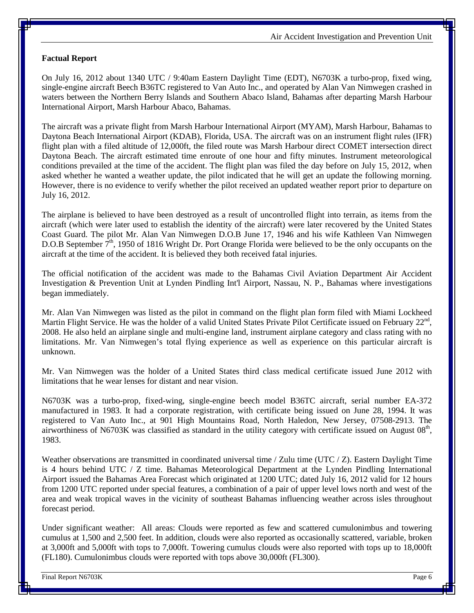#### **Factual Report**

On July 16, 2012 about 1340 UTC / 9:40am Eastern Daylight Time (EDT), N6703K a turbo-prop, fixed wing, single-engine aircraft Beech B36TC registered to Van Auto Inc., and operated by Alan Van Nimwegen crashed in waters between the Northern Berry Islands and Southern Abaco Island, Bahamas after departing Marsh Harbour International Airport, Marsh Harbour Abaco, Bahamas.

The aircraft was a private flight from Marsh Harbour International Airport (MYAM), Marsh Harbour, Bahamas to Daytona Beach International Airport (KDAB), Florida, USA. The aircraft was on an instrument flight rules (IFR) flight plan with a filed altitude of 12,000ft, the filed route was Marsh Harbour direct COMET intersection direct Daytona Beach. The aircraft estimated time enroute of one hour and fifty minutes. Instrument meteorological conditions prevailed at the time of the accident. The flight plan was filed the day before on July 15, 2012, when asked whether he wanted a weather update, the pilot indicated that he will get an update the following morning. However, there is no evidence to verify whether the pilot received an updated weather report prior to departure on July 16, 2012.

The airplane is believed to have been destroyed as a result of uncontrolled flight into terrain, as items from the aircraft (which were later used to establish the identity of the aircraft) were later recovered by the United States Coast Guard. The pilot Mr. Alan Van Nimwegen D.O.B June 17, 1946 and his wife Kathleen Van Nimwegen D.O.B September  $7<sup>th</sup>$ , 1950 of 1816 Wright Dr. Port Orange Florida were believed to be the only occupants on the aircraft at the time of the accident. It is believed they both received fatal injuries.

The official notification of the accident was made to the Bahamas Civil Aviation Department Air Accident Investigation & Prevention Unit at Lynden Pindling Int'l Airport, Nassau, N. P., Bahamas where investigations began immediately.

Mr. Alan Van Nimwegen was listed as the pilot in command on the flight plan form filed with Miami Lockheed Martin Flight Service. He was the holder of a valid United States Private Pilot Certificate issued on February 22<sup>nd</sup>, 2008. He also held an airplane single and multi-engine land, instrument airplane category and class rating with no limitations. Mr. Van Nimwegen's total flying experience as well as experience on this particular aircraft is unknown.

Mr. Van Nimwegen was the holder of a United States third class medical certificate issued June 2012 with limitations that he wear lenses for distant and near vision.

N6703K was a turbo-prop, fixed-wing, single-engine beech model B36TC aircraft, serial number EA-372 manufactured in 1983. It had a corporate registration, with certificate being issued on June 28, 1994. It was registered to Van Auto Inc., at 901 High Mountains Road, North Haledon, New Jersey, 07508-2913. The airworthiness of N6703K was classified as standard in the utility category with certificate issued on August  $08<sup>th</sup>$ , 1983.

Weather observations are transmitted in coordinated universal time / Zulu time (UTC / Z). Eastern Daylight Time is 4 hours behind UTC / Z time. Bahamas Meteorological Department at the Lynden Pindling International Airport issued the Bahamas Area Forecast which originated at 1200 UTC; dated July 16, 2012 valid for 12 hours from 1200 UTC reported under special features, a combination of a pair of upper level lows north and west of the area and weak tropical waves in the vicinity of southeast Bahamas influencing weather across isles throughout forecast period.

Under significant weather: All areas: Clouds were reported as few and scattered cumulonimbus and towering cumulus at 1,500 and 2,500 feet. In addition, clouds were also reported as occasionally scattered, variable, broken at 3,000ft and 5,000ft with tops to 7,000ft. Towering cumulus clouds were also reported with tops up to 18,000ft (FL180). Cumulonimbus clouds were reported with tops above 30,000ft (FL300).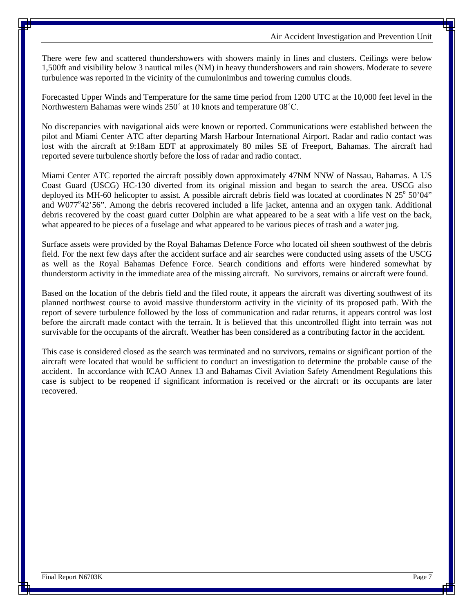There were few and scattered thundershowers with showers mainly in lines and clusters. Ceilings were below 1,500ft and visibility below 3 nautical miles (NM) in heavy thundershowers and rain showers. Moderate to severe turbulence was reported in the vicinity of the cumulonimbus and towering cumulus clouds.

Forecasted Upper Winds and Temperature for the same time period from 1200 UTC at the 10,000 feet level in the Northwestern Bahamas were winds 250˚ at 10 knots and temperature 08˚C.

No discrepancies with navigational aids were known or reported. Communications were established between the pilot and Miami Center ATC after departing Marsh Harbour International Airport. Radar and radio contact was lost with the aircraft at 9:18am EDT at approximately 80 miles SE of Freeport, Bahamas. The aircraft had reported severe turbulence shortly before the loss of radar and radio contact.

Miami Center ATC reported the aircraft possibly down approximately 47NM NNW of Nassau, Bahamas. A US Coast Guard (USCG) HC-130 diverted from its original mission and began to search the area. USCG also deployed its MH-60 helicopter to assist. A possible aircraft debris field was located at coordinates N  $25^{\circ}$  50'04" and W077°42'56". Among the debris recovered included a life jacket, antenna and an oxygen tank. Additional debris recovered by the coast guard cutter Dolphin are what appeared to be a seat with a life vest on the back, what appeared to be pieces of a fuselage and what appeared to be various pieces of trash and a water jug.

Surface assets were provided by the Royal Bahamas Defence Force who located oil sheen southwest of the debris field. For the next few days after the accident surface and air searches were conducted using assets of the USCG as well as the Royal Bahamas Defence Force. Search conditions and efforts were hindered somewhat by thunderstorm activity in the immediate area of the missing aircraft. No survivors, remains or aircraft were found.

Based on the location of the debris field and the filed route, it appears the aircraft was diverting southwest of its planned northwest course to avoid massive thunderstorm activity in the vicinity of its proposed path. With the report of severe turbulence followed by the loss of communication and radar returns, it appears control was lost before the aircraft made contact with the terrain. It is believed that this uncontrolled flight into terrain was not survivable for the occupants of the aircraft. Weather has been considered as a contributing factor in the accident.

This case is considered closed as the search was terminated and no survivors, remains or significant portion of the aircraft were located that would be sufficient to conduct an investigation to determine the probable cause of the accident. In accordance with ICAO Annex 13 and Bahamas Civil Aviation Safety Amendment Regulations this case is subject to be reopened if significant information is received or the aircraft or its occupants are later recovered.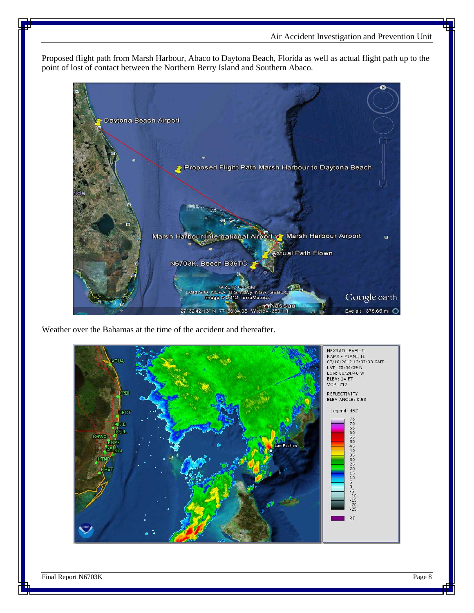Proposed flight path from Marsh Harbour, Abaco to Daytona Beach, Florida as well as actual flight path up to the point of lost of contact between the Northern Berry Island and Southern Abaco.



Weather over the Bahamas at the time of the accident and thereafter.



Final Report N6703K Page 8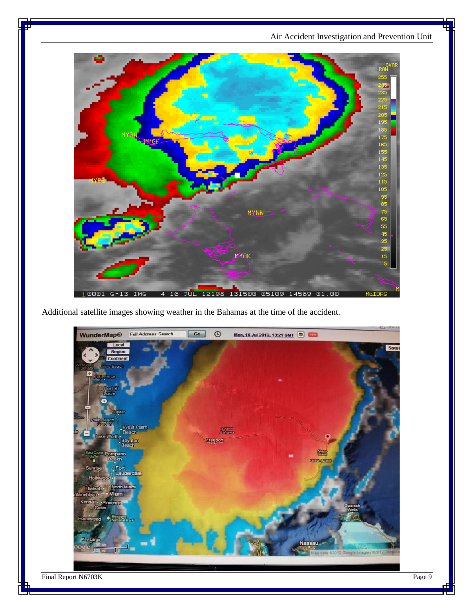

Additional satellite images showing weather in the Bahamas at the time of the accident.